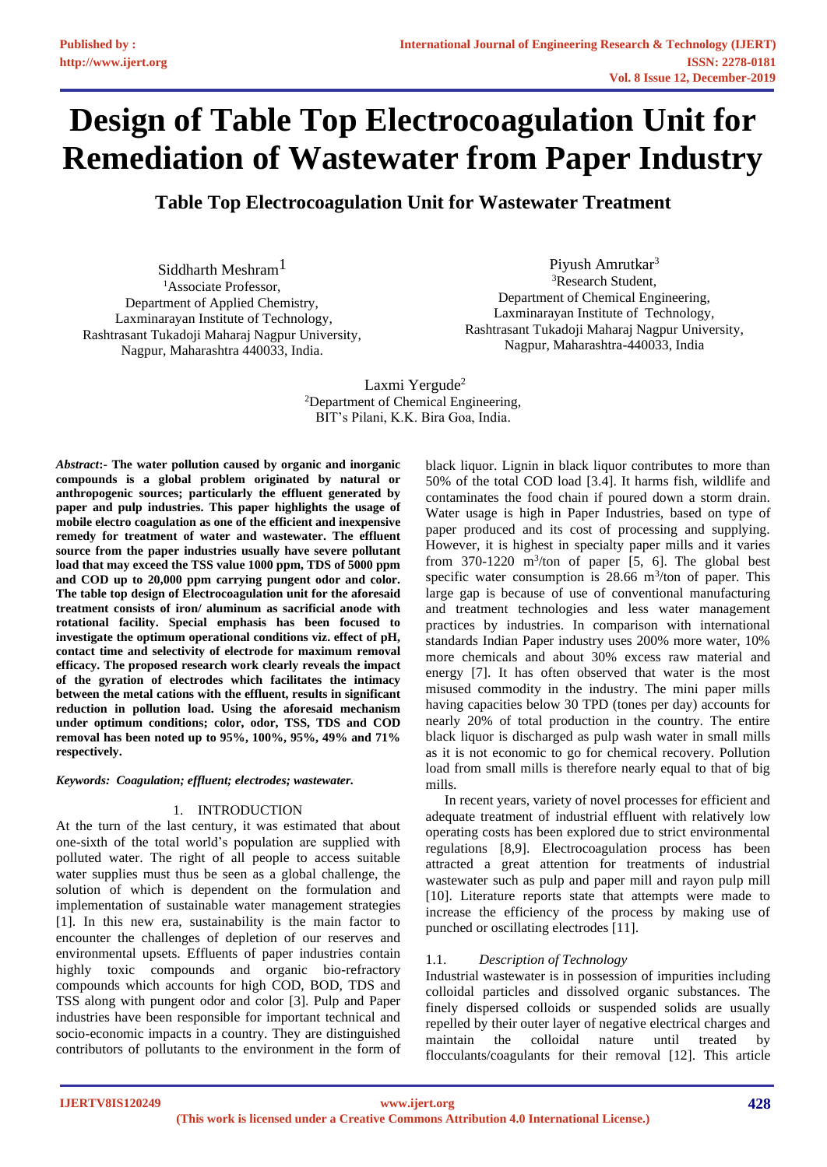# **Design of Table Top Electrocoagulation Unit for Remediation of Wastewater from Paper Industry**

**Table Top Electrocoagulation Unit for Wastewater Treatment**

Siddharth Meshram<sup>1</sup> <sup>1</sup>Associate Professor, Department of Applied Chemistry, Laxminarayan Institute of Technology, Rashtrasant Tukadoji Maharaj Nagpur University, Nagpur, Maharashtra 440033, India.

Piyush Amrutkar<sup>3</sup> <sup>3</sup>Research Student, Department of Chemical Engineering, Laxminarayan Institute of Technology, Rashtrasant Tukadoji Maharaj Nagpur University, Nagpur, Maharashtra-440033, India

Laxmi Yergude<sup>2</sup> <sup>2</sup>Department of Chemical Engineering, BIT's Pilani, K.K. Bira Goa, India.

*Abstract***:- The water pollution caused by organic and inorganic compounds is a global problem originated by natural or anthropogenic sources; particularly the effluent generated by paper and pulp industries. This paper highlights the usage of mobile electro coagulation as one of the efficient and inexpensive remedy for treatment of water and wastewater. The effluent source from the paper industries usually have severe pollutant load that may exceed the TSS value 1000 ppm, TDS of 5000 ppm and COD up to 20,000 ppm carrying pungent odor and color. The table top design of Electrocoagulation unit for the aforesaid treatment consists of iron/ aluminum as sacrificial anode with rotational facility. Special emphasis has been focused to investigate the optimum operational conditions viz. effect of pH, contact time and selectivity of electrode for maximum removal efficacy. The proposed research work clearly reveals the impact of the gyration of electrodes which facilitates the intimacy between the metal cations with the effluent, results in significant reduction in pollution load. Using the aforesaid mechanism under optimum conditions; color, odor, TSS, TDS and COD removal has been noted up to 95%, 100%, 95%, 49% and 71% respectively.**

*Keywords: Coagulation; effluent; electrodes; wastewater.*

# 1. INTRODUCTION

At the turn of the last century, it was estimated that about one-sixth of the total world's population are supplied with polluted water. The right of all people to access suitable water supplies must thus be seen as a global challenge, the solution of which is dependent on the formulation and implementation of sustainable water management strategies [1]. In this new era, sustainability is the main factor to encounter the challenges of depletion of our reserves and environmental upsets. Effluents of paper industries contain highly toxic compounds and organic bio-refractory compounds which accounts for high COD, BOD, TDS and TSS along with pungent odor and color [3]. Pulp and Paper industries have been responsible for important technical and socio-economic impacts in a country. They are distinguished contributors of pollutants to the environment in the form of

black liquor. Lignin in black liquor contributes to more than 50% of the total COD load [3.4]. It harms fish, wildlife and contaminates the food chain if poured down a storm drain. Water usage is high in Paper Industries, based on type of paper produced and its cost of processing and supplying. However, it is highest in specialty paper mills and it varies from  $370-1220$  m<sup>3</sup>/ton of paper [5, 6]. The global best specific water consumption is  $28.66 \text{ m}^3/\text{ton}$  of paper. This large gap is because of use of conventional manufacturing and treatment technologies and less water management practices by industries. In comparison with international standards Indian Paper industry uses 200% more water, 10% more chemicals and about 30% excess raw material and energy [7]. It has often observed that water is the most misused commodity in the industry. The mini paper mills having capacities below 30 TPD (tones per day) accounts for nearly 20% of total production in the country. The entire black liquor is discharged as pulp wash water in small mills as it is not economic to go for chemical recovery. Pollution load from small mills is therefore nearly equal to that of big mills.

In recent years, variety of novel processes for efficient and adequate treatment of industrial effluent with relatively low operating costs has been explored due to strict environmental regulations [8,9]. Electrocoagulation process has been attracted a great attention for treatments of industrial wastewater such as pulp and paper mill and rayon pulp mill [10]. Literature reports state that attempts were made to increase the efficiency of the process by making use of punched or oscillating electrodes [11].

# 1.1. *Description of Technology*

Industrial wastewater is in possession of impurities including colloidal particles and dissolved organic substances. The finely dispersed colloids or suspended solids are usually repelled by their outer layer of negative electrical charges and maintain the colloidal nature until treated by flocculants/coagulants for their removal [12]. This article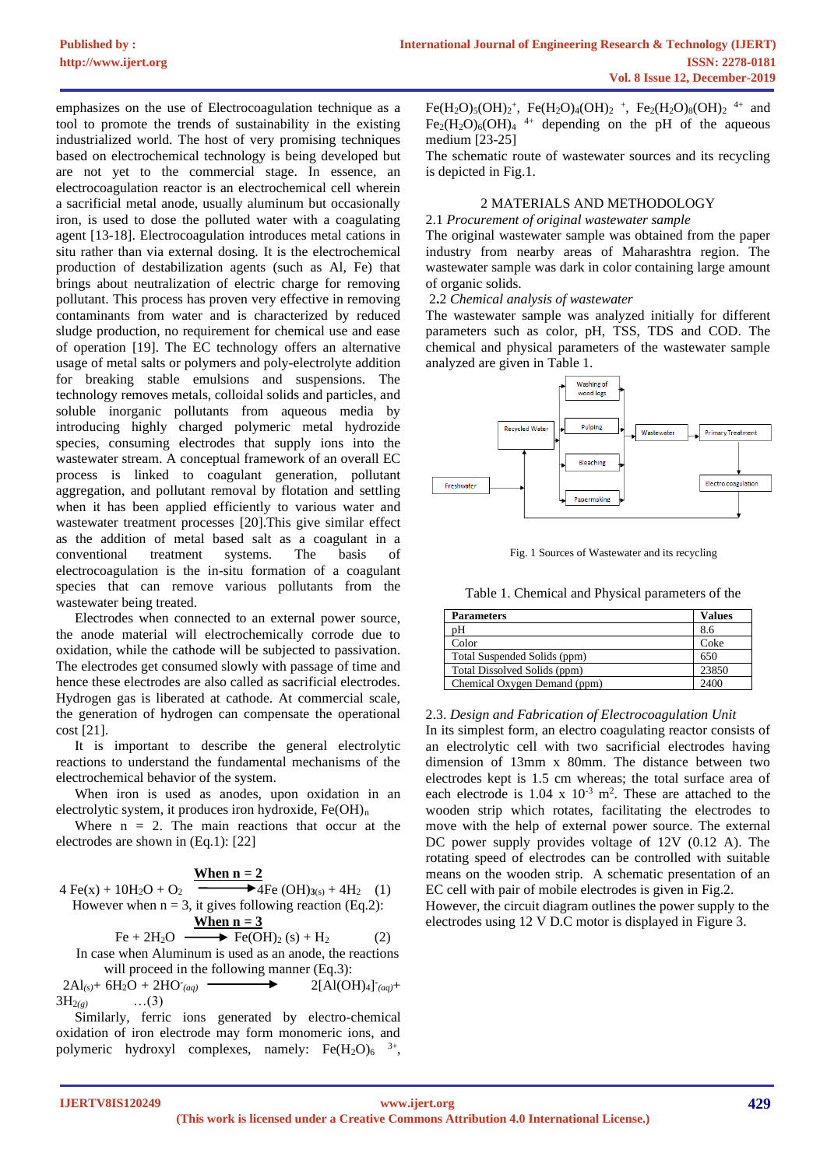emphasizes on the use of Electrocoagulation technique as a tool to promote the trends of sustainability in the existing industrialized world. The host of very promising techniques based on electrochemical technology is being developed but are not yet to the commercial stage. In essence, an electrocoagulation reactor is an electrochemical cell wherein a sacrificial metal anode, usually aluminum but occasionally iron, is used to dose the polluted water with a coagulating agent [13-18]. Electrocoagulation introduces metal cations in situ rather than via external dosing. It is the electrochemical production of destabilization agents (such as Al, Fe) that brings about neutralization of electric charge for removing pollutant. This process has proven very effective in removing contaminants from water and is characterized by reduced sludge production, no requirement for chemical use and ease of operation [19]. The EC technology offers an alternative usage of metal salts or polymers and poly-electrolyte addition for breaking stable emulsions and suspensions. The technology removes metals, colloidal solids and particles, and soluble inorganic pollutants from aqueous media by introducing highly charged polymeric metal hydrozide species, consuming electrodes that supply ions into the wastewater stream. A conceptual framework of an overall EC process is linked to coagulant generation, pollutant aggregation, and pollutant removal by flotation and settling when it has been applied efficiently to various water and wastewater treatment processes [20].This give similar effect as the addition of metal based salt as a coagulant in a conventional treatment systems. The basis of electrocoagulation is the in-situ formation of a coagulant species that can remove various pollutants from the wastewater being treated.

Electrodes when connected to an external power source, the anode material will electrochemically corrode due to oxidation, while the cathode will be subjected to passivation. The electrodes get consumed slowly with passage of time and hence these electrodes are also called as sacrificial electrodes. Hydrogen gas is liberated at cathode. At commercial scale, the generation of hydrogen can compensate the operational cost [21].

It is important to describe the general electrolytic reactions to understand the fundamental mechanisms of the electrochemical behavior of the system.

When iron is used as anodes, upon oxidation in an electrolytic system, it produces iron hydroxide, Fe(OH)<sup>n</sup>

Where  $n = 2$ . The main reactions that occur at the electrodes are shown in (Eq.1): [22]

4 Fe(x) + 10H<sub>2</sub>O + O<sub>2</sub>   
\nHowever when n = 3, it gives following reaction (Eq.2):  
\n
$$
Fe + 2H2O
$$
\n
$$
F2 + 2H2O
$$
\n
$$
F2 + 2H2O
$$
\n
$$
F2 + 2H2O
$$
\n
$$
F2 + 2H2O
$$
\nIn case when aluminum is used as an anode, the reactions

will proceed in the following manner (Eq.3):  $2\text{Al}_{(s)}$ + 6H<sub>2</sub>O + 2HO<sub>*(aq)*</sub>  $(aq)$   $2[A(OH)_4]_{(aq)} +$ 3H2*(g)* …(3)

Similarly, ferric ions generated by electro-chemical oxidation of iron electrode may form monomeric ions, and polymeric hydroxyl complexes, namely:  $Fe(H_2O)_6$ <sup>3+</sup>,

Fe(H<sub>2</sub>O)<sub>5</sub>(OH)<sub>2</sub><sup>+</sup>, Fe(H<sub>2</sub>O)<sub>4</sub>(OH)<sub>2</sub><sup>+</sup>, Fe<sub>2</sub>(H<sub>2</sub>O)<sub>8</sub>(OH)<sub>2</sub><sup>4+</sup> and  $Fe<sub>2</sub>(H<sub>2</sub>O)<sub>6</sub>(OH)<sub>4</sub>$ <sup>4+</sup> depending on the pH of the aqueous medium [23-25]

The schematic route of wastewater sources and its recycling is depicted in Fig.1.

## 2 MATERIALS AND METHODOLOGY

#### 2.1 *Procurement of original wastewater sample*

The original wastewater sample was obtained from the paper industry from nearby areas of Maharashtra region. The wastewater sample was dark in color containing large amount of organic solids.

2**.**2 *Chemical analysis of wastewater*

The wastewater sample was analyzed initially for different parameters such as color, pH, TSS, TDS and COD. The chemical and physical parameters of the wastewater sample analyzed are given in Table 1.



Fig. 1 Sources of Wastewater and its recycling

Table 1. Chemical and Physical parameters of the

| <b>Parameters</b>            | <b>Values</b> |
|------------------------------|---------------|
| pН                           | 8.6           |
| Color                        | Coke          |
| Total Suspended Solids (ppm) | 650           |
| Total Dissolved Solids (ppm) | 23850         |
| Chemical Oxygen Demand (ppm) | 2400          |

## 2.3. *Design and Fabrication of Electrocoagulation Unit*

In its simplest form, an electro coagulating reactor consists of an electrolytic cell with two sacrificial electrodes having dimension of 13mm x 80mm. The distance between two electrodes kept is 1.5 cm whereas; the total surface area of each electrode is  $1.04 \times 10^{-3}$  m<sup>2</sup>. These are attached to the wooden strip which rotates, facilitating the electrodes to move with the help of external power source. The external DC power supply provides voltage of 12V (0.12 A). The rotating speed of electrodes can be controlled with suitable means on the wooden strip. A schematic presentation of an EC cell with pair of mobile electrodes is given in Fig.2. However, the circuit diagram outlines the power supply to the electrodes using 12 V D.C motor is displayed in Figure 3.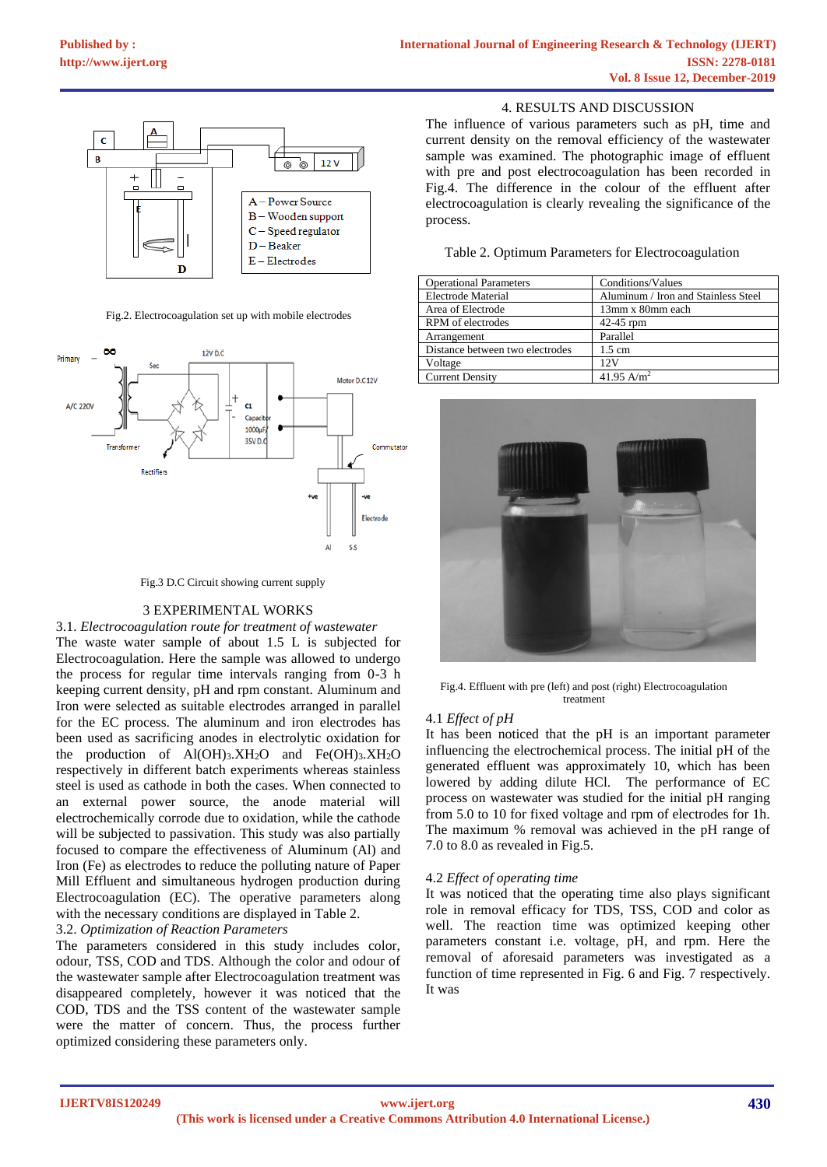

Fig.2. Electrocoagulation set up with mobile electrodes



Fig.3 D.C Circuit showing current supply

## 3 EXPERIMENTAL WORKS

3.1. *Electrocoagulation route for treatment of wastewater* The waste water sample of about 1.5 L is subjected for Electrocoagulation. Here the sample was allowed to undergo the process for regular time intervals ranging from 0-3 h keeping current density, pH and rpm constant. Aluminum and Iron were selected as suitable electrodes arranged in parallel for the EC process. The aluminum and iron electrodes has been used as sacrificing anodes in electrolytic oxidation for the production of  $Al(OH)_{3}$ ,  $XH_{2}O$  and  $Fe(OH)_{3}$ ,  $XH_{2}O$ respectively in different batch experiments whereas stainless steel is used as cathode in both the cases. When connected to an external power source, the anode material will electrochemically corrode due to oxidation, while the cathode will be subjected to passivation. This study was also partially focused to compare the effectiveness of Aluminum (Al) and Iron (Fe) as electrodes to reduce the polluting nature of Paper Mill Effluent and simultaneous hydrogen production during Electrocoagulation (EC). The operative parameters along with the necessary conditions are displayed in Table 2.

## 3.2. *Optimization of Reaction Parameters*

The parameters considered in this study includes color, odour, TSS, COD and TDS. Although the color and odour of the wastewater sample after Electrocoagulation treatment was disappeared completely, however it was noticed that the COD, TDS and the TSS content of the wastewater sample were the matter of concern. Thus, the process further optimized considering these parameters only.

#### 4. RESULTS AND DISCUSSION

The influence of various parameters such as pH, time and current density on the removal efficiency of the wastewater sample was examined. The photographic image of effluent with pre and post electrocoagulation has been recorded in Fig.4. The difference in the colour of the effluent after electrocoagulation is clearly revealing the significance of the process.

|  | Table 2. Optimum Parameters for Electrocoagulation |  |
|--|----------------------------------------------------|--|
|  |                                                    |  |

| <b>Operational Parameters</b>   | Conditions/Values                   |
|---------------------------------|-------------------------------------|
| Electrode Material              | Aluminum / Iron and Stainless Steel |
| Area of Electrode               | 13mm x 80mm each                    |
| RPM of electrodes               | 42-45 rpm                           |
| Arrangement                     | Parallel                            |
| Distance between two electrodes | $1.5 \text{ cm}$                    |
| Voltage                         | 12 V                                |
| <b>Current Density</b>          | 41.95 A/m <sup>2</sup>              |



Fig.4. Effluent with pre (left) and post (right) Electrocoagulation treatment

## 4.1 *Effect of pH*

It has been noticed that the pH is an important parameter influencing the electrochemical process. The initial pH of the generated effluent was approximately 10, which has been lowered by adding dilute HCl. The performance of EC process on wastewater was studied for the initial pH ranging from 5.0 to 10 for fixed voltage and rpm of electrodes for 1h. The maximum % removal was achieved in the pH range of 7.0 to 8.0 as revealed in Fig.5.

## 4.2 *Effect of operating time*

It was noticed that the operating time also plays significant role in removal efficacy for TDS, TSS, COD and color as well. The reaction time was optimized keeping other parameters constant i.e. voltage, pH, and rpm. Here the removal of aforesaid parameters was investigated as a function of time represented in Fig. 6 and Fig. 7 respectively. It was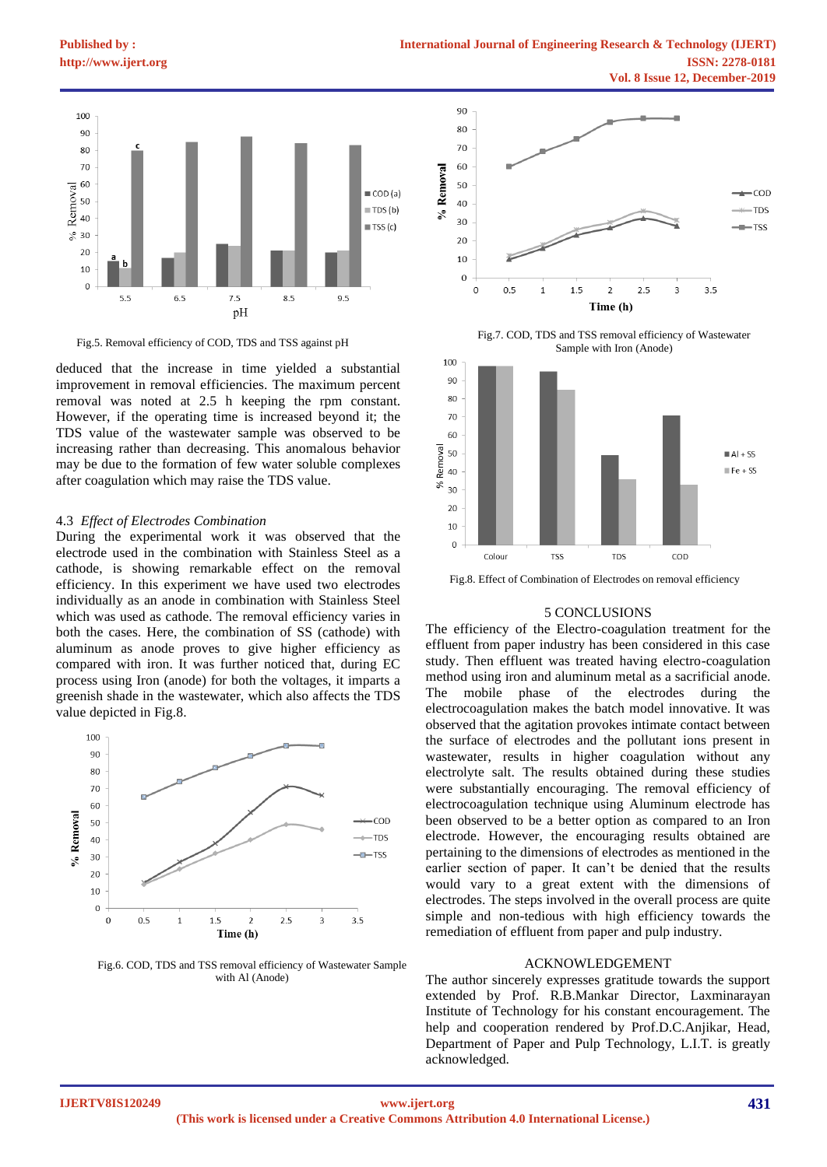**[Published by :](www.ijert.org)**

100

90

 $80$ 70

60



Fig.5. Removal efficiency of COD, TDS and TSS against pH

deduced that the increase in time yielded a substantial improvement in removal efficiencies. The maximum percent removal was noted at 2.5 h keeping the rpm constant. However, if the operating time is increased beyond it; the TDS value of the wastewater sample was observed to be increasing rather than decreasing. This anomalous behavior may be due to the formation of few water soluble complexes after coagulation which may raise the TDS value.

#### 4.3 *Effect of Electrodes Combination*

During the experimental work it was observed that the electrode used in the combination with Stainless Steel as a cathode, is showing remarkable effect on the removal efficiency. In this experiment we have used two electrodes individually as an anode in combination with Stainless Steel which was used as cathode. The removal efficiency varies in both the cases. Here, the combination of SS (cathode) with aluminum as anode proves to give higher efficiency as compared with iron. It was further noticed that, during EC process using Iron (anode) for both the voltages, it imparts a greenish shade in the wastewater, which also affects the TDS value depicted in Fig.8.



Fig.6. COD, TDS and TSS removal efficiency of Wastewater Sample with Al (Anode)



Fig.7. COD, TDS and TSS removal efficiency of Wastewater Sample with Iron (Anode)



Fig.8. Effect of Combination of Electrodes on removal efficiency

## 5 CONCLUSIONS

The efficiency of the Electro-coagulation treatment for the effluent from paper industry has been considered in this case study. Then effluent was treated having electro-coagulation method using iron and aluminum metal as a sacrificial anode. The mobile phase of the electrodes during the electrocoagulation makes the batch model innovative. It was observed that the agitation provokes intimate contact between the surface of electrodes and the pollutant ions present in wastewater, results in higher coagulation without any electrolyte salt. The results obtained during these studies were substantially encouraging. The removal efficiency of electrocoagulation technique using Aluminum electrode has been observed to be a better option as compared to an Iron electrode. However, the encouraging results obtained are pertaining to the dimensions of electrodes as mentioned in the earlier section of paper. It can't be denied that the results would vary to a great extent with the dimensions of electrodes. The steps involved in the overall process are quite simple and non-tedious with high efficiency towards the remediation of effluent from paper and pulp industry.

## ACKNOWLEDGEMENT

The author sincerely expresses gratitude towards the support extended by Prof. R.B.Mankar Director, Laxminarayan Institute of Technology for his constant encouragement. The help and cooperation rendered by Prof.D.C.Anjikar, Head, Department of Paper and Pulp Technology, L.I.T. is greatly acknowledged.